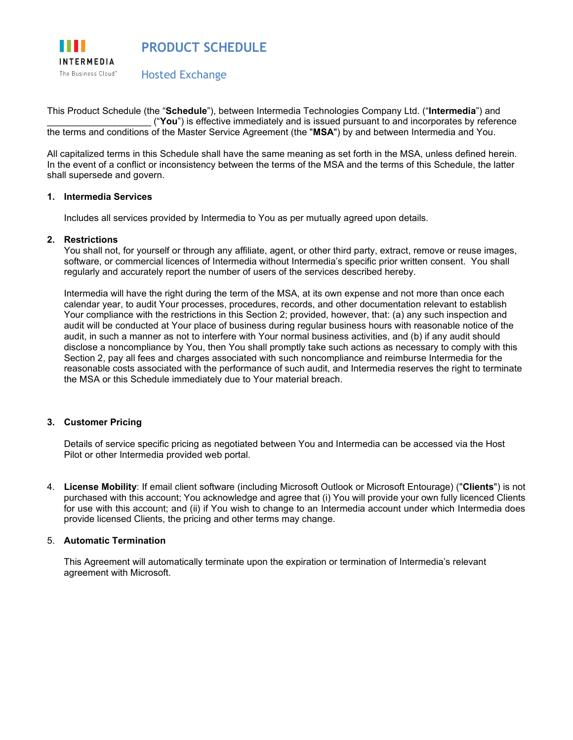

This Product Schedule (the "**Schedule**"), between Intermedia Technologies Company Ltd. ("**Intermedia**") and \_\_\_\_\_\_\_\_\_\_\_\_\_\_\_\_\_\_\_\_ ("**You**") is effective immediately and is issued pursuant to and incorporates by reference the terms and conditions of the Master Service Agreement (the "**MSA**") by and between Intermedia and You.

All capitalized terms in this Schedule shall have the same meaning as set forth in the MSA, unless defined herein. In the event of a conflict or inconsistency between the terms of the MSA and the terms of this Schedule, the latter shall supersede and govern.

# **1. Intermedia Services**

Includes all services provided by Intermedia to You as per mutually agreed upon details.

### **2. Restrictions**

You shall not, for yourself or through any affiliate, agent, or other third party, extract, remove or reuse images, software, or commercial licences of Intermedia without Intermedia's specific prior written consent. You shall regularly and accurately report the number of users of the services described hereby.

Intermedia will have the right during the term of the MSA, at its own expense and not more than once each calendar year, to audit Your processes, procedures, records, and other documentation relevant to establish Your compliance with the restrictions in this Section 2; provided, however, that: (a) any such inspection and audit will be conducted at Your place of business during regular business hours with reasonable notice of the audit, in such a manner as not to interfere with Your normal business activities, and (b) if any audit should disclose a noncompliance by You, then You shall promptly take such actions as necessary to comply with this Section 2, pay all fees and charges associated with such noncompliance and reimburse Intermedia for the reasonable costs associated with the performance of such audit, and Intermedia reserves the right to terminate the MSA or this Schedule immediately due to Your material breach.

## **3. Customer Pricing**

Details of service specific pricing as negotiated between You and Intermedia can be accessed via the Host Pilot or other Intermedia provided web portal.

4. **License Mobility**: If email client software (including Microsoft Outlook or Microsoft Entourage) ("**Clients**") is not purchased with this account; You acknowledge and agree that (i) You will provide your own fully licenced Clients for use with this account; and (ii) if You wish to change to an Intermedia account under which Intermedia does provide licensed Clients, the pricing and other terms may change.

#### 5. **Automatic Termination**

This Agreement will automatically terminate upon the expiration or termination of Intermedia's relevant agreement with Microsoft.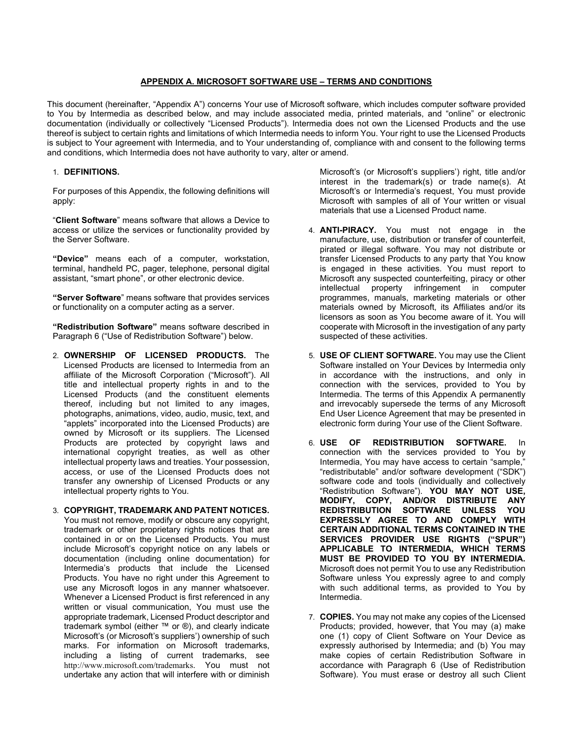### **APPENDIX A. MICROSOFT SOFTWARE USE – TERMS AND CONDITIONS**

This document (hereinafter, "Appendix A") concerns Your use of Microsoft software, which includes computer software provided to You by Intermedia as described below, and may include associated media, printed materials, and "online" or electronic documentation (individually or collectively "Licensed Products"). Intermedia does not own the Licensed Products and the use thereof is subject to certain rights and limitations of which Intermedia needs to inform You. Your right to use the Licensed Products is subject to Your agreement with Intermedia, and to Your understanding of, compliance with and consent to the following terms and conditions, which Intermedia does not have authority to vary, alter or amend.

## 1. **DEFINITIONS.**

For purposes of this Appendix, the following definitions will apply:

"**Client Software**" means software that allows a Device to access or utilize the services or functionality provided by the Server Software.

**"Device"** means each of a computer, workstation, terminal, handheld PC, pager, telephone, personal digital assistant, "smart phone", or other electronic device.

**"Server Software**" means software that provides services or functionality on a computer acting as a server.

**"Redistribution Software"** means software described in Paragraph 6 ("Use of Redistribution Software") below.

- 2. **OWNERSHIP OF LICENSED PRODUCTS.** The Licensed Products are licensed to Intermedia from an affiliate of the Microsoft Corporation ("Microsoft"). All title and intellectual property rights in and to the Licensed Products (and the constituent elements thereof, including but not limited to any images, photographs, animations, video, audio, music, text, and "applets" incorporated into the Licensed Products) are owned by Microsoft or its suppliers. The Licensed Products are protected by copyright laws and international copyright treaties, as well as other intellectual property laws and treaties. Your possession, access, or use of the Licensed Products does not transfer any ownership of Licensed Products or any intellectual property rights to You.
- 3. **COPYRIGHT, TRADEMARK AND PATENT NOTICES.**  You must not remove, modify or obscure any copyright, trademark or other proprietary rights notices that are contained in or on the Licensed Products. You must include Microsoft's copyright notice on any labels or documentation (including online documentation) for Intermedia's products that include the Licensed Products. You have no right under this Agreement to use any Microsoft logos in any manner whatsoever. Whenever a Licensed Product is first referenced in any written or visual communication, You must use the appropriate trademark, Licensed Product descriptor and trademark symbol (either ™ or ®), and clearly indicate Microsoft's (or Microsoft's suppliers') ownership of such marks. For information on Microsoft trademarks, including a listing of current trademarks, see <http://www.microsoft.com/trademarks>. You must not undertake any action that will interfere with or diminish

Microsoft's (or Microsoft's suppliers') right, title and/or interest in the trademark(s) or trade name(s). At Microsoft's or Intermedia's request, You must provide Microsoft with samples of all of Your written or visual materials that use a Licensed Product name.

- 4. **ANTI-PIRACY.** You must not engage in the manufacture, use, distribution or transfer of counterfeit, pirated or illegal software. You may not distribute or transfer Licensed Products to any party that You know is engaged in these activities. You must report to Microsoft any suspected counterfeiting, piracy or other intellectual property infringement in computer programmes, manuals, marketing materials or other materials owned by Microsoft, its Affiliates and/or its licensors as soon as You become aware of it. You will cooperate with Microsoft in the investigation of any party suspected of these activities.
- 5. **USE OF CLIENT SOFTWARE.** You may use the Client Software installed on Your Devices by Intermedia only in accordance with the instructions, and only in connection with the services, provided to You by Intermedia. The terms of this Appendix A permanently and irrevocably supersede the terms of any Microsoft End User Licence Agreement that may be presented in electronic form during Your use of the Client Software.
- 6. **USE OF REDISTRIBUTION SOFTWARE.** In connection with the services provided to You by Intermedia, You may have access to certain "sample," "redistributable" and/or software development ("SDK") software code and tools (individually and collectively "Redistribution Software"). **YOU MAY NOT USE, MODIFY, COPY, AND/OR DISTRIBUTE ANY REDISTRIBUTION SOFTWARE UNLESS YOU EXPRESSLY AGREE TO AND COMPLY WITH CERTAIN ADDITIONAL TERMS CONTAINED IN THE SERVICES PROVIDER USE RIGHTS ("SPUR") APPLICABLE TO INTERMEDIA, WHICH TERMS MUST BE PROVIDED TO YOU BY INTERMEDIA.** Microsoft does not permit You to use any Redistribution Software unless You expressly agree to and comply with such additional terms, as provided to You by Intermedia.
- 7. **COPIES.** You may not make any copies of the Licensed Products; provided, however, that You may (a) make one (1) copy of Client Software on Your Device as expressly authorised by Intermedia; and (b) You may make copies of certain Redistribution Software in accordance with Paragraph 6 (Use of Redistribution Software). You must erase or destroy all such Client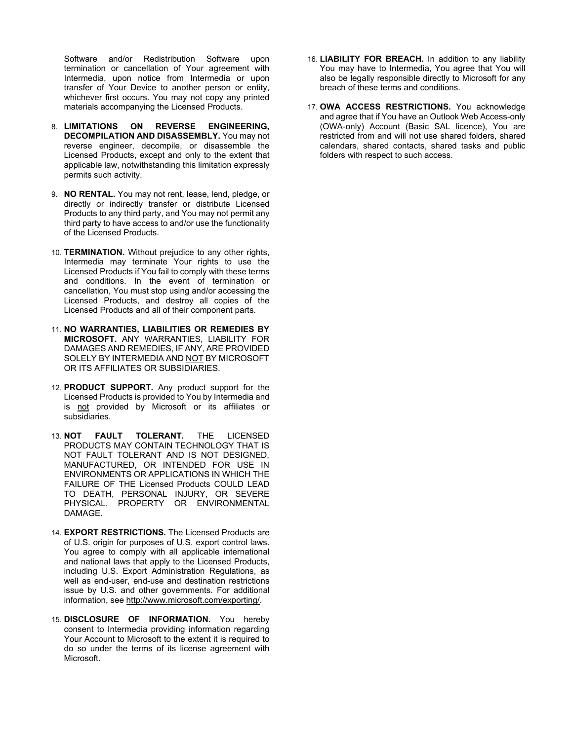Software and/or Redistribution Software upon termination or cancellation of Your agreement with Intermedia, upon notice from Intermedia or upon transfer of Your Device to another person or entity, whichever first occurs. You may not copy any printed materials accompanying the Licensed Products.

- 8. **LIMITATIONS ON REVERSE ENGINEERING, DECOMPILATION AND DISASSEMBLY.** You may not reverse engineer, decompile, or disassemble the Licensed Products, except and only to the extent that applicable law, notwithstanding this limitation expressly permits such activity.
- 9. **NO RENTAL.** You may not rent, lease, lend, pledge, or directly or indirectly transfer or distribute Licensed Products to any third party, and You may not permit any third party to have access to and/or use the functionality of the Licensed Products.
- 10. **TERMINATION.** Without prejudice to any other rights, Intermedia may terminate Your rights to use the Licensed Products if You fail to comply with these terms and conditions. In the event of termination or cancellation, You must stop using and/or accessing the Licensed Products, and destroy all copies of the Licensed Products and all of their component parts.
- 11. **NO WARRANTIES, LIABILITIES OR REMEDIES BY MICROSOFT.** ANY WARRANTIES, LIABILITY FOR DAMAGES AND REMEDIES, IF ANY, ARE PROVIDED SOLELY BY INTERMEDIA AND NOT BY MICROSOFT OR ITS AFFILIATES OR SUBSIDIARIES.
- 12. **PRODUCT SUPPORT.** Any product support for the Licensed Products is provided to You by Intermedia and is not provided by Microsoft or its affiliates or subsidiaries.
- 13. **NOT FAULT TOLERANT.** THE LICENSED PRODUCTS MAY CONTAIN TECHNOLOGY THAT IS NOT FAULT TOLERANT AND IS NOT DESIGNED, MANUFACTURED, OR INTENDED FOR USE IN ENVIRONMENTS OR APPLICATIONS IN WHICH THE FAILURE OF THE Licensed Products COULD LEAD TO DEATH, PERSONAL INJURY, OR SEVERE PHYSICAL, PROPERTY OR ENVIRONMENTAL DAMAGE.
- 14. **EXPORT RESTRICTIONS.** The Licensed Products are of U.S. origin for purposes of U.S. export control laws. You agree to comply with all applicable international and national laws that apply to the Licensed Products, including U.S. Export Administration Regulations, as well as end-user, end-use and destination restrictions issue by U.S. and other governments. For additional information, see [http://www.microsoft.com/exporting/.](http://www.microsoft.com/exporting/)
- 15. **DISCLOSURE OF INFORMATION.** You hereby consent to Intermedia providing information regarding Your Account to Microsoft to the extent it is required to do so under the terms of its license agreement with Microsoft.
- 16. **LIABILITY FOR BREACH.** In addition to any liability You may have to Intermedia, You agree that You will also be legally responsible directly to Microsoft for any breach of these terms and conditions.
- 17. **OWA ACCESS RESTRICTIONS.** You acknowledge and agree that if You have an Outlook Web Access-only (OWA-only) Account (Basic SAL licence), You are restricted from and will not use shared folders, shared calendars, shared contacts, shared tasks and public folders with respect to such access.